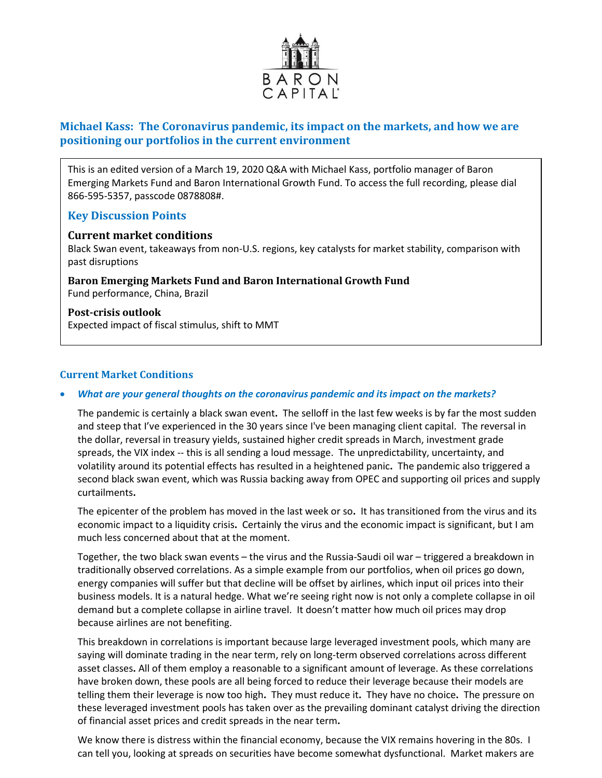

# **Michael Kass: The Coronavirus pandemic, its impact on the markets, and how we are positioning our portfolios in the current environment**

This is an edited version of a March 19, 2020 Q&A with Michael Kass, portfolio manager of Baron Emerging Markets Fund and Baron International Growth Fund. To access the full recording, please dial 866-595-5357, passcode 0878808#.

# **Key Discussion Points**

### **Current market conditions**

Black Swan event, takeaways from non-U.S. regions, key catalysts for market stability, comparison with past disruptions

**Baron Emerging Markets Fund and Baron International Growth Fund** Fund performance, China, Brazil

**Post-crisis outlook** Expected impact of fiscal stimulus, shift to MMT

## **Current Market Conditions**

#### • *What are your general thoughts on the coronavirus pandemic and its impact on the markets?*

The pandemic is certainly a black swan event**.** The selloff in the last few weeks is by far the most sudden and steep that I've experienced in the 30 years since I've been managing client capital. The reversal in the dollar, reversal in treasury yields, sustained higher credit spreads in March, investment grade spreads, the VIX index -- this is all sending a loud message. The unpredictability, uncertainty, and volatility around its potential effects has resulted in a heightened panic**.** The pandemic also triggered a second black swan event, which was Russia backing away from OPEC and supporting oil prices and supply curtailments**.** 

The epicenter of the problem has moved in the last week or so**.** It has transitioned from the virus and its economic impact to a liquidity crisis**.** Certainly the virus and the economic impact is significant, but I am much less concerned about that at the moment.

Together, the two black swan events – the virus and the Russia-Saudi oil war – triggered a breakdown in traditionally observed correlations. As a simple example from our portfolios, when oil prices go down, energy companies will suffer but that decline will be offset by airlines, which input oil prices into their business models. It is a natural hedge. What we're seeing right now is not only a complete collapse in oil demand but a complete collapse in airline travel. It doesn't matter how much oil prices may drop because airlines are not benefiting.

This breakdown in correlations is important because large leveraged investment pools, which many are saying will dominate trading in the near term, rely on long-term observed correlations across different asset classes**.** All of them employ a reasonable to a significant amount of leverage. As these correlations have broken down, these pools are all being forced to reduce their leverage because their models are telling them their leverage is now too high**.** They must reduce it**.** They have no choice**.** The pressure on these leveraged investment pools has taken over as the prevailing dominant catalyst driving the direction of financial asset prices and credit spreads in the near term**.** 

We know there is distress within the financial economy, because the VIX remains hovering in the 80s. I can tell you, looking at spreads on securities have become somewhat dysfunctional. Market makers are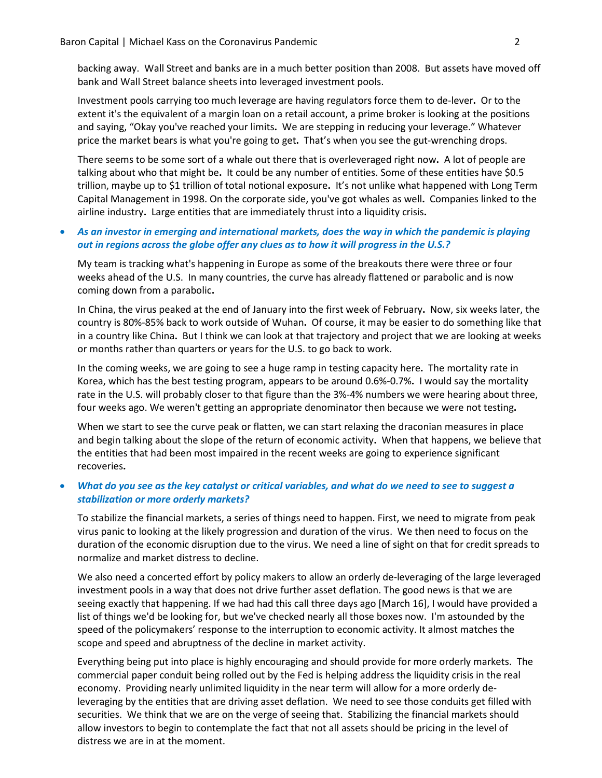backing away. Wall Street and banks are in a much better position than 2008. But assets have moved off bank and Wall Street balance sheets into leveraged investment pools.

Investment pools carrying too much leverage are having regulators force them to de-lever**.** Or to the extent it's the equivalent of a margin loan on a retail account, a prime broker is looking at the positions and saying, "Okay you've reached your limits**.** We are stepping in reducing your leverage." Whatever price the market bears is what you're going to get**.** That's when you see the gut-wrenching drops.

There seems to be some sort of a whale out there that is overleveraged right now**.** A lot of people are talking about who that might be**.** It could be any number of entities. Some of these entities have \$0.5 trillion, maybe up to \$1 trillion of total notional exposure**.** It's not unlike what happened with Long Term Capital Management in 1998. On the corporate side, you've got whales as well**.** Companies linked to the airline industry**.** Large entities that are immediately thrust into a liquidity crisis**.** 

## • *As an investor in emerging and international markets, does the way in which the pandemic is playing out in regions across the globe offer any clues as to how it will progress in the U.S.?*

My team is tracking what's happening in Europe as some of the breakouts there were three or four weeks ahead of the U.S. In many countries, the curve has already flattened or parabolic and is now coming down from a parabolic**.** 

In China, the virus peaked at the end of January into the first week of February**.** Now, six weeks later, the country is 80%-85% back to work outside of Wuhan**.** Of course, it may be easier to do something like that in a country like China**.** But I think we can look at that trajectory and project that we are looking at weeks or months rather than quarters or years for the U.S. to go back to work.

In the coming weeks, we are going to see a huge ramp in testing capacity here**.** The mortality rate in Korea, which has the best testing program, appears to be around 0.6%-0.7%**.** I would say the mortality rate in the U.S. will probably closer to that figure than the 3%-4% numbers we were hearing about three, four weeks ago. We weren't getting an appropriate denominator then because we were not testing**.** 

When we start to see the curve peak or flatten, we can start relaxing the draconian measures in place and begin talking about the slope of the return of economic activity**.** When that happens, we believe that the entities that had been most impaired in the recent weeks are going to experience significant recoveries**.** 

## • *What do you see as the key catalyst or critical variables, and what do we need to see to suggest a stabilization or more orderly markets?*

To stabilize the financial markets, a series of things need to happen. First, we need to migrate from peak virus panic to looking at the likely progression and duration of the virus. We then need to focus on the duration of the economic disruption due to the virus. We need a line of sight on that for credit spreads to normalize and market distress to decline.

We also need a concerted effort by policy makers to allow an orderly de-leveraging of the large leveraged investment pools in a way that does not drive further asset deflation. The good news is that we are seeing exactly that happening. If we had had this call three days ago [March 16], I would have provided a list of things we'd be looking for, but we've checked nearly all those boxes now. I'm astounded by the speed of the policymakers' response to the interruption to economic activity. It almost matches the scope and speed and abruptness of the decline in market activity.

Everything being put into place is highly encouraging and should provide for more orderly markets. The commercial paper conduit being rolled out by the Fed is helping address the liquidity crisis in the real economy. Providing nearly unlimited liquidity in the near term will allow for a more orderly deleveraging by the entities that are driving asset deflation. We need to see those conduits get filled with securities. We think that we are on the verge of seeing that. Stabilizing the financial markets should allow investors to begin to contemplate the fact that not all assets should be pricing in the level of distress we are in at the moment.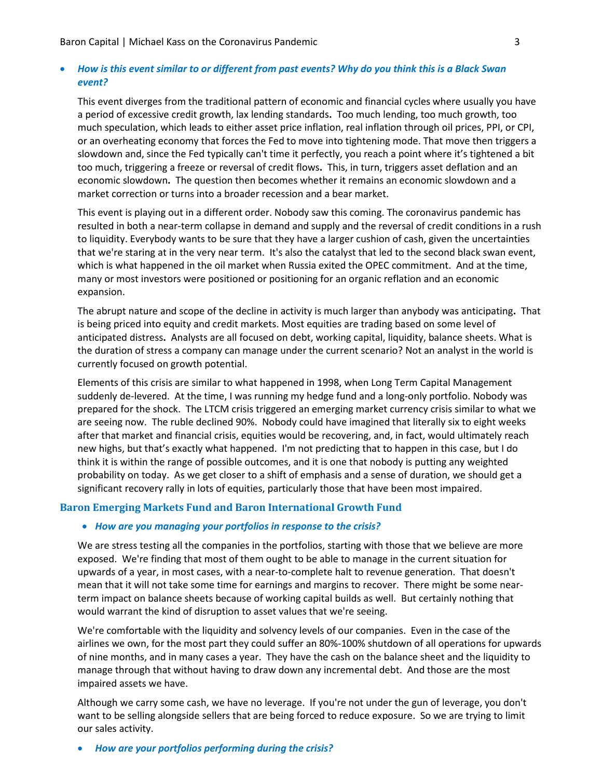### • *How is this event similar to or different from past events? Why do you think this is a Black Swan event?*

This event diverges from the traditional pattern of economic and financial cycles where usually you have a period of excessive credit growth, lax lending standards**.** Too much lending, too much growth, too much speculation, which leads to either asset price inflation, real inflation through oil prices, PPI, or CPI, or an overheating economy that forces the Fed to move into tightening mode. That move then triggers a slowdown and, since the Fed typically can't time it perfectly, you reach a point where it's tightened a bit too much, triggering a freeze or reversal of credit flows**.** This, in turn, triggers asset deflation and an economic slowdown**.** The question then becomes whether it remains an economic slowdown and a market correction or turns into a broader recession and a bear market.

This event is playing out in a different order. Nobody saw this coming. The coronavirus pandemic has resulted in both a near-term collapse in demand and supply and the reversal of credit conditions in a rush to liquidity. Everybody wants to be sure that they have a larger cushion of cash, given the uncertainties that we're staring at in the very near term. It's also the catalyst that led to the second black swan event, which is what happened in the oil market when Russia exited the OPEC commitment. And at the time, many or most investors were positioned or positioning for an organic reflation and an economic expansion.

The abrupt nature and scope of the decline in activity is much larger than anybody was anticipating**.** That is being priced into equity and credit markets. Most equities are trading based on some level of anticipated distress**.** Analysts are all focused on debt, working capital, liquidity, balance sheets. What is the duration of stress a company can manage under the current scenario? Not an analyst in the world is currently focused on growth potential.

Elements of this crisis are similar to what happened in 1998, when Long Term Capital Management suddenly de-levered. At the time, I was running my hedge fund and a long-only portfolio. Nobody was prepared for the shock. The LTCM crisis triggered an emerging market currency crisis similar to what we are seeing now. The ruble declined 90%. Nobody could have imagined that literally six to eight weeks after that market and financial crisis, equities would be recovering, and, in fact, would ultimately reach new highs, but that's exactly what happened. I'm not predicting that to happen in this case, but I do think it is within the range of possible outcomes, and it is one that nobody is putting any weighted probability on today. As we get closer to a shift of emphasis and a sense of duration, we should get a significant recovery rally in lots of equities, particularly those that have been most impaired.

#### **Baron Emerging Markets Fund and Baron International Growth Fund**

#### • *How are you managing your portfolios in response to the crisis?*

We are stress testing all the companies in the portfolios, starting with those that we believe are more exposed. We're finding that most of them ought to be able to manage in the current situation for upwards of a year, in most cases, with a near-to-complete halt to revenue generation. That doesn't mean that it will not take some time for earnings and margins to recover. There might be some nearterm impact on balance sheets because of working capital builds as well. But certainly nothing that would warrant the kind of disruption to asset values that we're seeing.

We're comfortable with the liquidity and solvency levels of our companies. Even in the case of the airlines we own, for the most part they could suffer an 80%-100% shutdown of all operations for upwards of nine months, and in many cases a year. They have the cash on the balance sheet and the liquidity to manage through that without having to draw down any incremental debt. And those are the most impaired assets we have.

Although we carry some cash, we have no leverage. If you're not under the gun of leverage, you don't want to be selling alongside sellers that are being forced to reduce exposure. So we are trying to limit our sales activity.

#### • *How are your portfolios performing during the crisis?*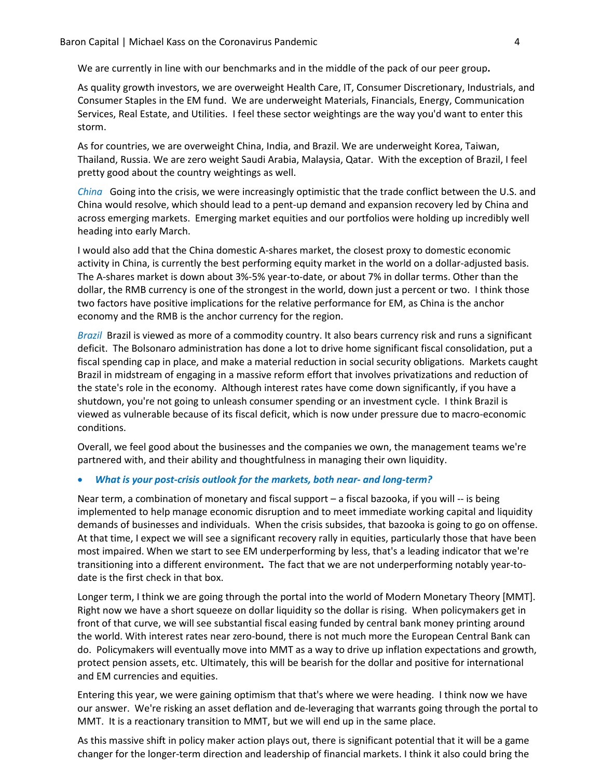We are currently in line with our benchmarks and in the middle of the pack of our peer group**.** 

As quality growth investors, we are overweight Health Care, IT, Consumer Discretionary, Industrials, and Consumer Staples in the EM fund. We are underweight Materials, Financials, Energy, Communication Services, Real Estate, and Utilities. I feel these sector weightings are the way you'd want to enter this storm.

As for countries, we are overweight China, India, and Brazil. We are underweight Korea, Taiwan, Thailand, Russia. We are zero weight Saudi Arabia, Malaysia, Qatar. With the exception of Brazil, I feel pretty good about the country weightings as well.

*China* Going into the crisis, we were increasingly optimistic that the trade conflict between the U.S. and China would resolve, which should lead to a pent-up demand and expansion recovery led by China and across emerging markets. Emerging market equities and our portfolios were holding up incredibly well heading into early March.

I would also add that the China domestic A-shares market, the closest proxy to domestic economic activity in China, is currently the best performing equity market in the world on a dollar-adjusted basis. The A-shares market is down about 3%-5% year-to-date, or about 7% in dollar terms. Other than the dollar, the RMB currency is one of the strongest in the world, down just a percent or two. I think those two factors have positive implications for the relative performance for EM, as China is the anchor economy and the RMB is the anchor currency for the region.

*Brazil* Brazil is viewed as more of a commodity country. It also bears currency risk and runs a significant deficit. The Bolsonaro administration has done a lot to drive home significant fiscal consolidation, put a fiscal spending cap in place, and make a material reduction in social security obligations. Markets caught Brazil in midstream of engaging in a massive reform effort that involves privatizations and reduction of the state's role in the economy. Although interest rates have come down significantly, if you have a shutdown, you're not going to unleash consumer spending or an investment cycle. I think Brazil is viewed as vulnerable because of its fiscal deficit, which is now under pressure due to macro-economic conditions.

Overall, we feel good about the businesses and the companies we own, the management teams we're partnered with, and their ability and thoughtfulness in managing their own liquidity.

#### • *What is your post-crisis outlook for the markets, both near- and long-term?*

Near term, a combination of monetary and fiscal support – a fiscal bazooka, if you will -- is being implemented to help manage economic disruption and to meet immediate working capital and liquidity demands of businesses and individuals. When the crisis subsides, that bazooka is going to go on offense. At that time, I expect we will see a significant recovery rally in equities, particularly those that have been most impaired. When we start to see EM underperforming by less, that's a leading indicator that we're transitioning into a different environment**.** The fact that we are not underperforming notably year-todate is the first check in that box.

Longer term, I think we are going through the portal into the world of Modern Monetary Theory [MMT]. Right now we have a short squeeze on dollar liquidity so the dollar is rising. When policymakers get in front of that curve, we will see substantial fiscal easing funded by central bank money printing around the world. With interest rates near zero-bound, there is not much more the European Central Bank can do. Policymakers will eventually move into MMT as a way to drive up inflation expectations and growth, protect pension assets, etc. Ultimately, this will be bearish for the dollar and positive for international and EM currencies and equities.

Entering this year, we were gaining optimism that that's where we were heading. I think now we have our answer. We're risking an asset deflation and de-leveraging that warrants going through the portal to MMT. It is a reactionary transition to MMT, but we will end up in the same place.

As this massive shift in policy maker action plays out, there is significant potential that it will be a game changer for the longer-term direction and leadership of financial markets. I think it also could bring the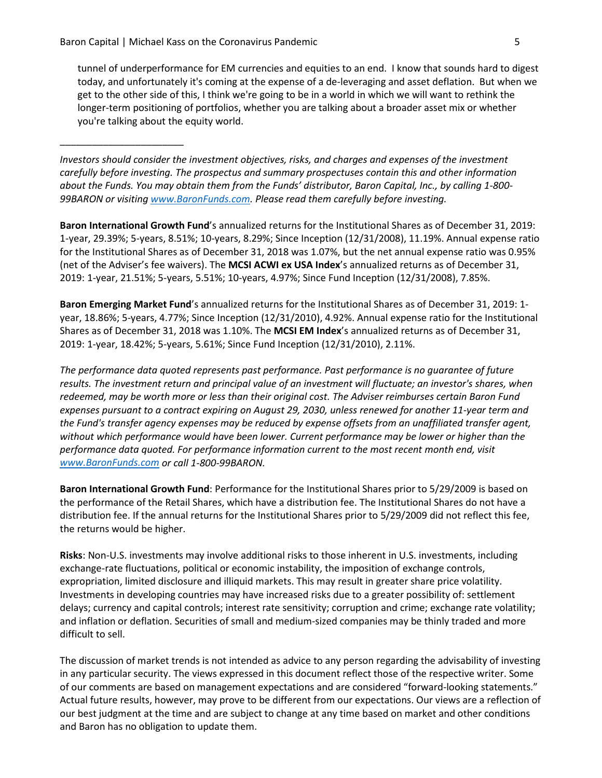\_\_\_\_\_\_\_\_\_\_\_\_\_\_\_\_\_\_\_\_\_\_\_

tunnel of underperformance for EM currencies and equities to an end. I know that sounds hard to digest today, and unfortunately it's coming at the expense of a de-leveraging and asset deflation. But when we get to the other side of this, I think we're going to be in a world in which we will want to rethink the longer-term positioning of portfolios, whether you are talking about a broader asset mix or whether you're talking about the equity world.

*Investors should consider the investment objectives, risks, and charges and expenses of the investment carefully before investing. The prospectus and summary prospectuses contain this and other information about the Funds. You may obtain them from the Funds' distributor, Baron Capital, Inc., by calling 1-800- 99BARON or visiting [www.BaronFunds.com.](http://www.baronfunds.com/) Please read them carefully before investing.*

**Baron International Growth Fund**'s annualized returns for the Institutional Shares as of December 31, 2019: 1-year, 29.39%; 5-years, 8.51%; 10-years, 8.29%; Since Inception (12/31/2008), 11.19%. Annual expense ratio for the Institutional Shares as of December 31, 2018 was 1.07%, but the net annual expense ratio was 0.95% (net of the Adviser's fee waivers). The **MCSI ACWI ex USA Index**'s annualized returns as of December 31, 2019: 1-year, 21.51%; 5-years, 5.51%; 10-years, 4.97%; Since Fund Inception (12/31/2008), 7.85%.

**Baron Emerging Market Fund**'s annualized returns for the Institutional Shares as of December 31, 2019: 1 year, 18.86%; 5-years, 4.77%; Since Inception (12/31/2010), 4.92%. Annual expense ratio for the Institutional Shares as of December 31, 2018 was 1.10%. The **MCSI EM Index**'s annualized returns as of December 31, 2019: 1-year, 18.42%; 5-years, 5.61%; Since Fund Inception (12/31/2010), 2.11%.

*The performance data quoted represents past performance. Past performance is no guarantee of future results. The investment return and principal value of an investment will fluctuate; an investor's shares, when redeemed, may be worth more or less than their original cost. The Adviser reimburses certain Baron Fund expenses pursuant to a contract expiring on August 29, 2030, unless renewed for another 11-year term and the Fund's transfer agency expenses may be reduced by expense offsets from an unaffiliated transfer agent, without which performance would have been lower. Current performance may be lower or higher than the performance data quoted. For performance information current to the most recent month end, visit [www.BaronFunds.com](http://www.baronfunds.com/) or call 1-800-99BARON.*

**Baron International Growth Fund**: Performance for the Institutional Shares prior to 5/29/2009 is based on the performance of the Retail Shares, which have a distribution fee. The Institutional Shares do not have a distribution fee. If the annual returns for the Institutional Shares prior to 5/29/2009 did not reflect this fee, the returns would be higher.

**Risks**: Non-U.S. investments may involve additional risks to those inherent in U.S. investments, including exchange-rate fluctuations, political or economic instability, the imposition of exchange controls, expropriation, limited disclosure and illiquid markets. This may result in greater share price volatility. Investments in developing countries may have increased risks due to a greater possibility of: settlement delays; currency and capital controls; interest rate sensitivity; corruption and crime; exchange rate volatility; and inflation or deflation. Securities of small and medium-sized companies may be thinly traded and more difficult to sell.

The discussion of market trends is not intended as advice to any person regarding the advisability of investing in any particular security. The views expressed in this document reflect those of the respective writer. Some of our comments are based on management expectations and are considered "forward-looking statements." Actual future results, however, may prove to be different from our expectations. Our views are a reflection of our best judgment at the time and are subject to change at any time based on market and other conditions and Baron has no obligation to update them.